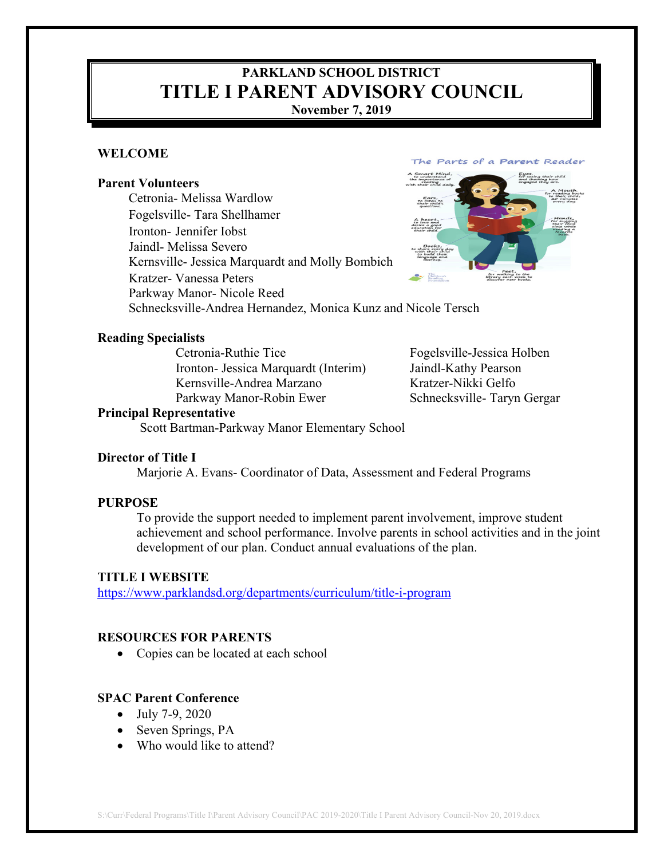# **PARKLAND SCHOOL DISTRICT TITLE I PARENT ADVISORY COUNCIL**<br>November 7, 2019

## **WELCOME**

#### **Parent Volunteers**

Cetronia- Melissa Wardlow Fogelsville- Tara Shellhamer Ironton- Jennifer Iobst Jaindl- Melissa Severo Kernsville- Jessica Marquardt and Molly Bombich Kratzer- Vanessa Peters Parkway Manor- Nicole Reed Schnecksville-Andrea Hernandez, Monica Kunz and Nicole Tersch



#### **Reading Specialists**

Cetronia-Ruthie Tice Fogelsville-Jessica Holben Ironton- Jessica Marquardt (Interim) Jaindl-Kathy Pearson Kernsville-Andrea Marzano Kratzer-Nikki Gelfo Parkway Manor-Robin Ewer Schnecksville- Taryn Gergar

#### **Principal Representative**

Scott Bartman-Parkway Manor Elementary School

#### **Director of Title I**

Marjorie A. Evans- Coordinator of Data, Assessment and Federal Programs

## **PURPOSE**

To provide the support needed to implement parent involvement, improve student achievement and school performance. Involve parents in school activities and in the joint development of our plan. Conduct annual evaluations of the plan.

#### **TITLE I WEBSITE**

https://www.parklandsd.org/departments/curriculum/title-i-program

#### **RESOURCES FOR PARENTS**

• Copies can be located at each school

## **SPAC Parent Conference**

- $-$  July 7-9, 2020
- Seven Springs, PA
- Who would like to attend?